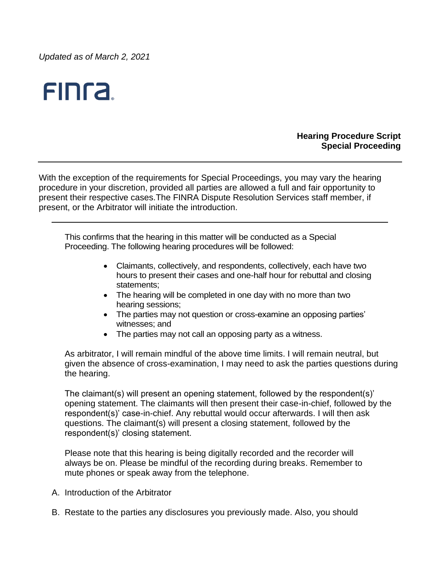*Updated as of March 2, 2021*



# **Hearing Procedure Script Special Proceeding**

With the exception of the requirements for Special Proceedings, you may vary the hearing procedure in your discretion, provided all parties are allowed a full and fair opportunity to present their respective cases.The FINRA Dispute Resolution Services staff member, if present, or the Arbitrator will initiate the introduction.

This confirms that the hearing in this matter will be conducted as a Special Proceeding. The following hearing procedures will be followed:

- Claimants, collectively, and respondents, collectively, each have two hours to present their cases and one-half hour for rebuttal and closing statements;
- The hearing will be completed in one day with no more than two hearing sessions;
- The parties may not question or cross-examine an opposing parties' witnesses; and
- The parties may not call an opposing party as a witness.

As arbitrator, I will remain mindful of the above time limits. I will remain neutral, but given the absence of cross-examination, I may need to ask the parties questions during the hearing.

The claimant(s) will present an opening statement, followed by the respondent(s)' opening statement. The claimants will then present their case-in-chief, followed by the respondent(s)' case-in-chief. Any rebuttal would occur afterwards. I will then ask questions. The claimant(s) will present a closing statement, followed by the respondent(s)' closing statement.

Please note that this hearing is being digitally recorded and the recorder will always be on. Please be mindful of the recording during breaks. Remember to mute phones or speak away from the telephone.

- A. Introduction of the Arbitrator
- B. Restate to the parties any disclosures you previously made. Also, you should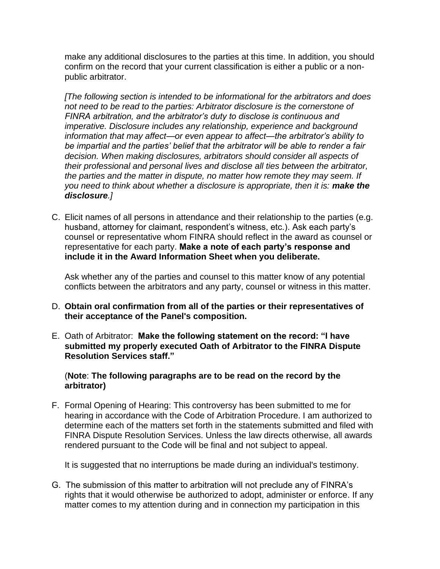make any additional disclosures to the parties at this time. In addition, you should confirm on the record that your current classification is either a public or a nonpublic arbitrator.

*[The following section is intended to be informational for the arbitrators and does not need to be read to the parties: Arbitrator disclosure is the cornerstone of FINRA arbitration, and the arbitrator's duty to disclose is continuous and imperative. Disclosure includes any relationship, experience and background information that may affect—or even appear to affect—the arbitrator's ability to be impartial and the parties' belief that the arbitrator will be able to render a fair decision. When making disclosures, arbitrators should consider all aspects of their professional and personal lives and disclose all ties between the arbitrator, the parties and the matter in dispute, no matter how remote they may seem. If you need to think about whether a disclosure is appropriate, then it is: make the disclosure.]*

C. Elicit names of all persons in attendance and their relationship to the parties (e.g. husband, attorney for claimant, respondent's witness, etc.). Ask each party's counsel or representative whom FINRA should reflect in the award as counsel or representative for each party. **Make a note of each party's response and include it in the Award Information Sheet when you deliberate.**

Ask whether any of the parties and counsel to this matter know of any potential conflicts between the arbitrators and any party, counsel or witness in this matter.

- D. **Obtain oral confirmation from all of the parties or their representatives of their acceptance of the Panel's composition.**
- E. Oath of Arbitrator: **Make the following statement on the record: "I have submitted my properly executed Oath of Arbitrator to the FINRA Dispute Resolution Services staff."**

## (**Note**: **The following paragraphs are to be read on the record by the arbitrator)**

F. Formal Opening of Hearing: This controversy has been submitted to me for hearing in accordance with the Code of Arbitration Procedure. I am authorized to determine each of the matters set forth in the statements submitted and filed with FINRA Dispute Resolution Services. Unless the law directs otherwise, all awards rendered pursuant to the Code will be final and not subject to appeal.

It is suggested that no interruptions be made during an individual's testimony.

G. The submission of this matter to arbitration will not preclude any of FINRA's rights that it would otherwise be authorized to adopt, administer or enforce. If any matter comes to my attention during and in connection my participation in this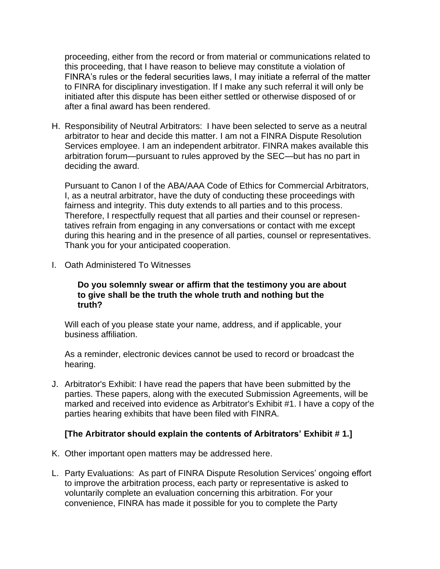proceeding, either from the record or from material or communications related to this proceeding, that I have reason to believe may constitute a violation of FINRA's rules or the federal securities laws, I may initiate a referral of the matter to FINRA for disciplinary investigation. If I make any such referral it will only be initiated after this dispute has been either settled or otherwise disposed of or after a final award has been rendered.

H. Responsibility of Neutral Arbitrators: I have been selected to serve as a neutral arbitrator to hear and decide this matter. I am not a FINRA Dispute Resolution Services employee. I am an independent arbitrator. FINRA makes available this arbitration forum—pursuant to rules approved by the SEC—but has no part in deciding the award.

Pursuant to Canon I of the ABA/AAA Code of Ethics for Commercial Arbitrators, I, as a neutral arbitrator, have the duty of conducting these proceedings with fairness and integrity. This duty extends to all parties and to this process. Therefore, I respectfully request that all parties and their counsel or representatives refrain from engaging in any conversations or contact with me except during this hearing and in the presence of all parties, counsel or representatives. Thank you for your anticipated cooperation.

I. Oath Administered To Witnesses

#### **Do you solemnly swear or affirm that the testimony you are about to give shall be the truth the whole truth and nothing but the truth?**

Will each of you please state your name, address, and if applicable, your business affiliation.

As a reminder, electronic devices cannot be used to record or broadcast the hearing.

J. Arbitrator's Exhibit: I have read the papers that have been submitted by the parties. These papers, along with the executed Submission Agreements, will be marked and received into evidence as Arbitrator's Exhibit #1. I have a copy of the parties hearing exhibits that have been filed with FINRA.

## **[The Arbitrator should explain the contents of Arbitrators' Exhibit # 1.]**

- K. Other important open matters may be addressed here.
- L. Party Evaluations: As part of FINRA Dispute Resolution Services' ongoing effort to improve the arbitration process, each party or representative is asked to voluntarily complete an evaluation concerning this arbitration. For your convenience, FINRA has made it possible for you to complete the Party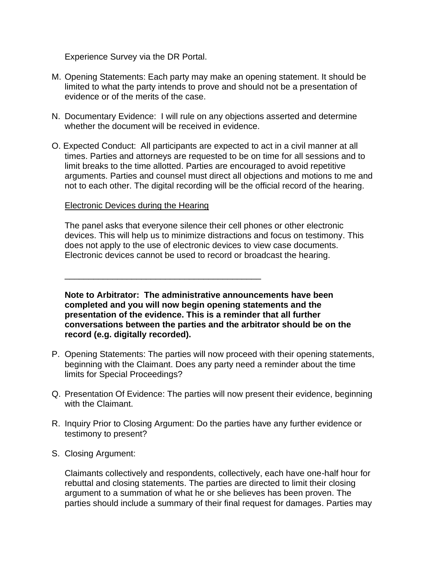Experience Survey via the DR Portal.

- M. Opening Statements: Each party may make an opening statement. It should be limited to what the party intends to prove and should not be a presentation of evidence or of the merits of the case.
- N. Documentary Evidence: I will rule on any objections asserted and determine whether the document will be received in evidence.
- O. Expected Conduct: All participants are expected to act in a civil manner at all times. Parties and attorneys are requested to be on time for all sessions and to limit breaks to the time allotted. Parties are encouraged to avoid repetitive arguments. Parties and counsel must direct all objections and motions to me and not to each other. The digital recording will be the official record of the hearing.

#### Electronic Devices during the Hearing

\_\_\_\_\_\_\_\_\_\_\_\_\_\_\_\_\_\_\_\_\_\_\_\_\_\_\_\_\_\_\_\_\_\_\_\_\_\_\_\_\_

The panel asks that everyone silence their cell phones or other electronic devices. This will help us to minimize distractions and focus on testimony. This does not apply to the use of electronic devices to view case documents. Electronic devices cannot be used to record or broadcast the hearing.

**Note to Arbitrator: The administrative announcements have been completed and you will now begin opening statements and the presentation of the evidence. This is a reminder that all further conversations between the parties and the arbitrator should be on the record (e.g. digitally recorded).** 

- P. Opening Statements: The parties will now proceed with their opening statements, beginning with the Claimant. Does any party need a reminder about the time limits for Special Proceedings?
- Q. Presentation Of Evidence: The parties will now present their evidence, beginning with the Claimant.
- R. Inquiry Prior to Closing Argument: Do the parties have any further evidence or testimony to present?
- S. Closing Argument:

Claimants collectively and respondents, collectively, each have one-half hour for rebuttal and closing statements. The parties are directed to limit their closing argument to a summation of what he or she believes has been proven. The parties should include a summary of their final request for damages. Parties may